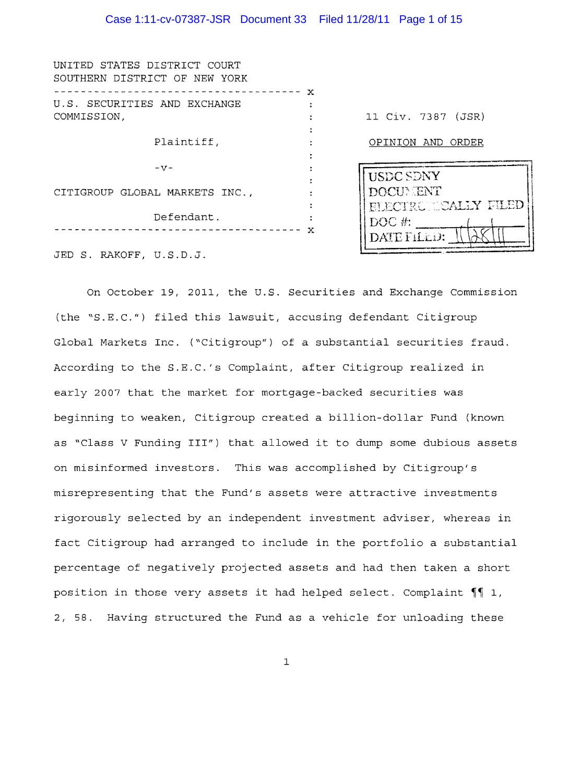| UNITED STATES DISTRICT COURT<br>SOUTHERN DISTRICT OF NEW YORK |              |                             |
|---------------------------------------------------------------|--------------|-----------------------------|
|                                                               | $\mathbf{x}$ |                             |
| U.S. SECURITIES AND EXCHANGE                                  |              |                             |
| COMMISSION,                                                   |              | 11 Civ. 7387 (JSR)          |
|                                                               |              |                             |
| Plaintiff,                                                    |              | OPINION AND ORDER           |
|                                                               |              |                             |
| $-57-$                                                        |              |                             |
|                                                               |              | <b>USDC SDNY</b>            |
| CITIGROUP GLOBAL MARKETS INC.,                                |              | DOCUMENT                    |
|                                                               |              | <b>ELECTRONICALLY FILED</b> |
| Defendant.                                                    |              | $DOC$ #:                    |
|                                                               | x            |                             |
|                                                               |              | DATE FILLD:                 |
| JED S. RAKOFF, U.S.D.J.                                       |              |                             |

On October 19, 2011, the U.S. Securities and Exchange Commission (the "S.E.C.") filed this lawsuit, accusing defendant Citigroup Global Markets Inc. ("Citigroup") of a substantial securities fraud. According to the S.E.C.'s Complaint, after Citigroup realized in early 2007 that the market for mortgage-backed securities was beginning to weaken, Citigroup created a billion-dollar Fund (known as "Class V Funding III") that allowed it to dump some dubious assets on misinformed investors. This was accomplished by Citigroup's misrepresenting that the Fund's assets were attractive investments rigorously selected by an independent investment adviser, whereas in fact Citigroup had arranged to include in the portfolio a substantial percentage of negatively projected assets and had then taken a short position in those very assets it had helped select. Complaint  $\P$  1, 2, 58. Having structured the Fund as a vehicle for unloading these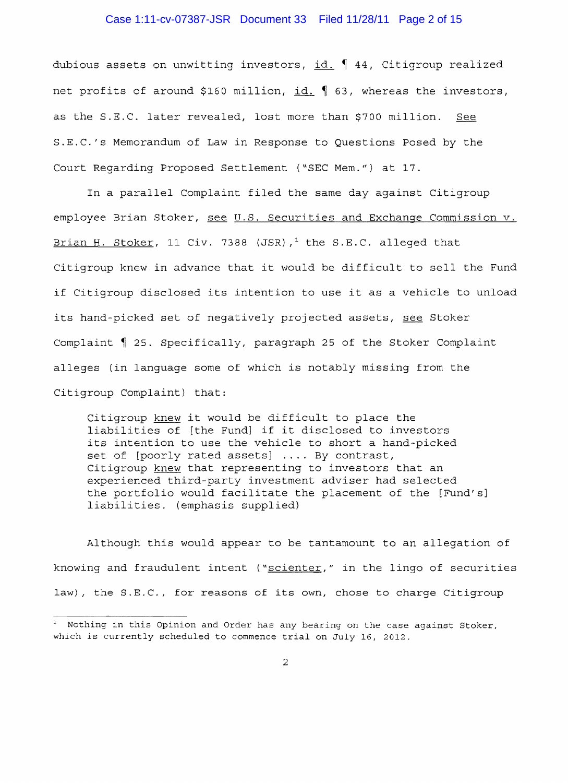### Case 1:11-cv-07387-JSR Document 33 Filed 11/28/11 Page 2 of 15

dubious assets on unwitting investors,  $id. \nmid 44$ , Citigroup realized net profits of around \$160 million, id. 1 63, whereas the investors, as the S.E.C. later revealed, lost more than \$700 million. See S.E.C.'s Memorandum of Law in Response to Questions Posed by the Court Regarding Proposed Settlement ("SEC Mem.") at 17.

In a parallel Complaint filed the same day against Citigroup employee Brian Stoker, see U.S. Securities and Exchange Commission v. Brian H. Stoker, 11 Civ. 7388 (JSR),<sup>1</sup> the S.E.C. alleged that Citigroup knew in advance that it would be difficult to sell the Fund if Citigroup disclosed its intention to use it as a vehicle to unload its hand-picked set of negatively projected assets, see Stoker Complaint 1 25. Specifically, paragraph 25 of the Stoker Complaint alleges (in language some of which is notably missing from the Citigroup Complaint) that:

Citigroup knew it would be difficult to place the liabilities of [the Fund] if it disclosed to investors its intention to use the vehicle to short a hand-picked set of [poorly rated assets] .... By contrast, Citigroup knew that representing to investors that an experienced third-party investment adviser had selected the portfolio would facilitate the placement of the [Fund's] liabilities. (emphasis supplied)

Although this would appear to be tantamount to an allegation of knowing and fraudulent intent ("scienter," in the lingo of securities law), the S.E.C., for reasons of its own, chose to charge Citigroup

<sup>&</sup>lt;sup>1</sup> Nothing in this Opinion and Order has any bearing on the case against Stoker, which is currently scheduled to commence trial on July 16, 2012.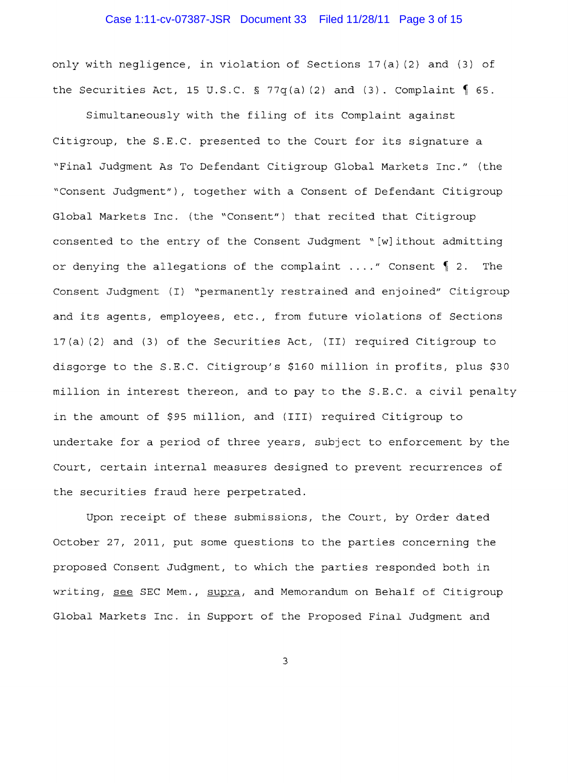# Case 1:11-cv-07387-JSR Document 33 Filed 11/28/11 Page 3 of 15

only with negligence, in violation of Sections l7(a) (2) and (3) of the Securities Act, 15 U.S.C. § 77q(a)(2) and (3). Complaint  $\oint$  65.

Simultaneously with the filing of its Complaint against Citigroup, the S.E.C. presented to the Court for its signature a "Final Judgment As To Defendant Citigroup Global Markets Inc." (the "Consent Judqment"), together with a Consent of Defendant Citigroup Global Markets Inc. (the "Consent") that recited that Citigroup consented to the entry of the Consent Judgment" [w]ithout admitting or denying the allegations of the complaint ...." Consent 1 2. The Consent Judgment (I) "permanently restrained and enjoined" Citigroup and its agents, employees, etc., from future violations of Sections l7(a) (2) and (3) of the Securities Act, (II) required Citigroup to disgorge to the S.E.C. Citigroup's \$160 million in profits, plus \$30 million in interest thereon, and to pay to the S.E.C. a civil penalty in the amount of \$95 million, and (III) required Citigroup to undertake for a period of three years, subject to enforcement by the Court, certain internal measures designed to prevent recurrences of the securities fraud here perpetrated.

Upon receipt of these submissions, the Court, by Order dated October 27, 2011, put some questions to the parties concerning the proposed Consent Judgment, to which the parties responded both in writing, see SEC Mem., supra, and Memorandum on Behalf of Citigroup Global Markets Inc. in Support of the Proposed Final Judgment and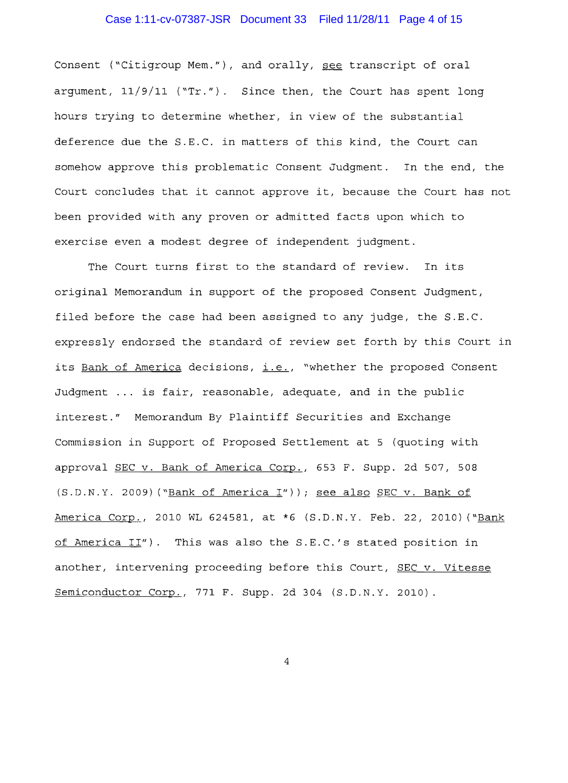### Case 1:11-cv-07387-JSR Document 33 Filed 11/28/11 Page 4 of 15

Consent ("Citigroup Mem."), and orally, see transcript of oral argument,  $11/9/11$  ("Tr."). Since then, the Court has spent long hours trying to determine whether, in view of the substantial deference due the S.E.C. in matters of this kind, the Court can somehow approve this problematic Consent Judgment. In the end, the Court concludes that it cannot approve it, because the Court has not been provided with any proven or admitted facts upon which to exercise even a modest degree of independent judgment.

The Court turns first to the standard of review. In its original Memorandum in support of the proposed Consent Judgment, filed before the case had been assigned to any judge, the S.E.C. expressly endorsed the standard of review set forth by this Court in its Bank of America decisions, i.e., "whether the proposed Consent Judgment ... is fair, reasonable, adequate, and in the public interest." Memorandum By Plaintiff Securities and Exchange Commission in Support of Proposed Settlement at 5 (quoting with approval SEC v. Bank of America Corp., 653 F. Supp. 2d 507, 508 (S.D.N.Y. 2009) ("Bank of America I")); see also SEC v. Bank of America Corp., 2010 WL 624581, at \*6 (S.D.N.Y. Feb. 22, 2010) ("Bank of America II"). This was also the S.E.C.'s stated position in another, intervening proceeding before this Court, SEC v. Vitesse Semiconductor Corp., 771 F. Supp. 2d 304 (S.D.N.Y. 2010).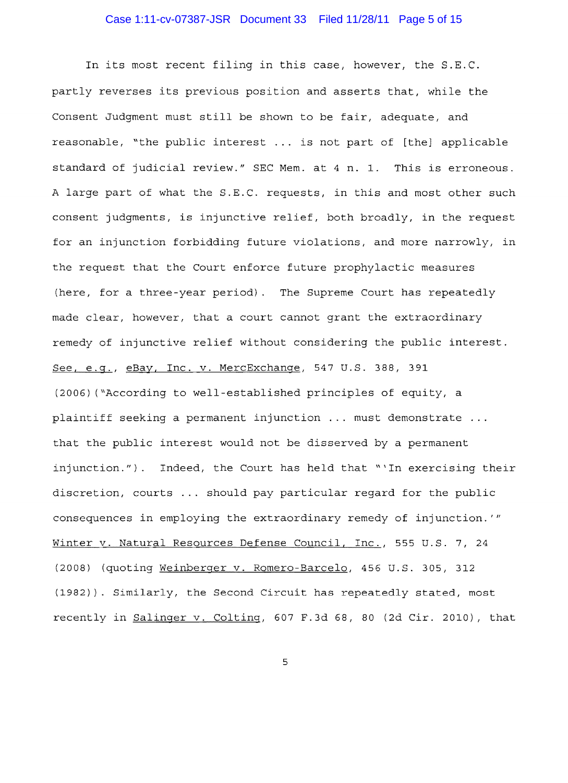# Case 1:11-cv-07387-JSR Document 33 Filed 11/28/11 Page 5 of 15

In its most recent filing in this case, however, the S.E.C. partly reverses its previous position and asserts that, while the Consent Judgment must still be shown to be fair, adequate, and reasonable, "the public interest ... is not part of [the] applicable standard of judicial review." SEC Mem. at 4 n. 1. This is erroneous. A large part of what the S.E.C. requests, in this and most other such consent judgments, is injunctive relief, both broadly, in the request for an injunction forbidding future violations, and more narrowly, in the request that the Court enforce future prophylactic measures (here, for a three-year period). The Supreme Court has repeatedly made clear, however, that a court cannot grant the extraordinary remedy of injunctive relief without considering the public interest. See, e.g., eBay, Inc. v. MercExchange, 547 U.S. 388, 391 (2006) ("According to well-established principles of equity, a plaintiff seeking a permanent injunction ... must demonstrate ... that the public interest would not be disserved by a permanent injunction."). Indeed, the Court has held that "'In exercising their discretion, courts ... should pay particular regard for the public consequences in employing the extraordinary remedy of injunction. *"'*  Winter v. Natural Resources Defense Council, Inc., 555 U.S. 7, 24 (2008) (quoting Weinberger v. Romero-Barcelo, 456 U.S. 305, 312 (1982)). Similarly, the Second Circuit has repeatedly stated, most recently in Salinger v. Colting, 607 F.3d 68, 80 (2d Cir. 2010), that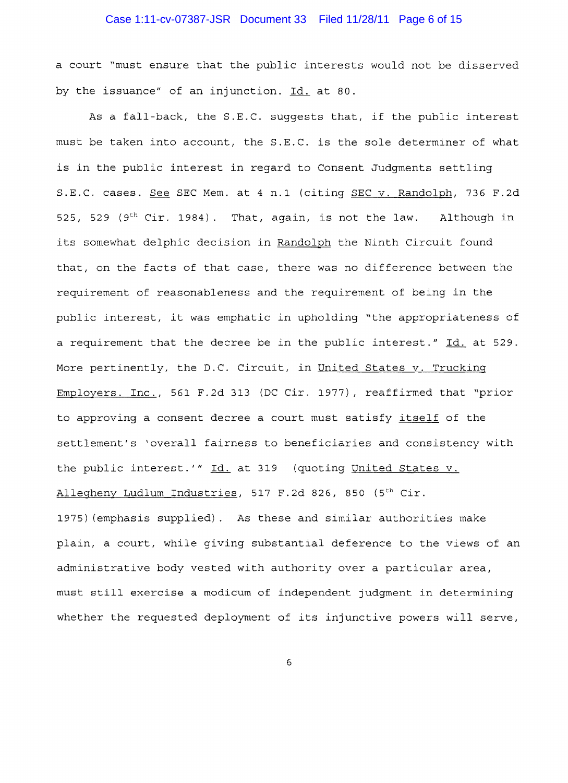# Case 1:11-cv-07387-JSR Document 33 Filed 11/28/11 Page 6 of 15

a court "must ensure that the public interests would not be disserved by the issuance" of an injunction. Id. at 80.

As a fall-back, the S.E.C. suggests that, if the public interest must be taken into account, the S.E.C. is the sole determiner of what is in the public interest in regard to Consent Judgments settling S.E.C. cases. See SEC Mem. at 4 n.1 (citing SEC v. Randolph, 736 F.2d 525, 529 (9<sup>th</sup> Cir. 1984). That, again, is not the law. Although in its somewhat delphic decision in Randolph the Ninth Circuit found that, on the facts of that case, there was no difference between the requirement of reasonableness and the requirement of being in the public interest, it was emphatic in upholding "the appropriateness of a requirement that the decree be in the public interest."  $\underline{Id.}$  at 529. More pertinently, the D.C. Circuit, in United States v. Trucking Employers. Inc., 561 F.2d 313 (DC Cir. 1977), reaffirmed that "prior to approving a consent decree a court must satisfy itself of the settlement's 'overall fairness to beneficiaries and consistency with the public interest.'" Id. at 319 (quoting United States v. Allegheny Ludlum Industries, 517 F.2d 826, 850 (5<sup>th</sup> Cir. 1975) (emphasis supplied). As these and similar authorities make plain, a court, while giving substantial deference to the views of an

must still exercise a modicum of independent judgment in determining whether the requested deployment of its injunctive powers will serve,

administrative body vested with authority over a particular area,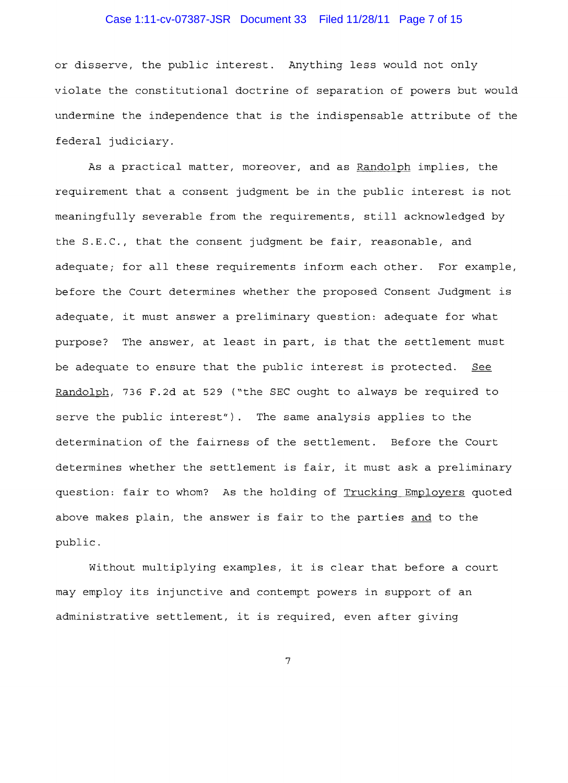# Case 1:11-cv-07387-JSR Document 33 Filed 11/28/11 Page 7 of 15

or disserve, the public interest. Anything less would not only violate the constitutional doctrine of separation of powers but would undermine the independence that is the indispensable attribute of the federal judiciary.

As a practical matter, moreover, and as Randolph implies, the requirement that a consent judgment be in the public interest is not meaningfully severable from the requirements, still acknowledged by the  $S.E.C.,$  that the consent judgment be fair, reasonable, and adequate; for all these requirements inform each other. For example, before the Court determines whether the proposed Consent Judgment is adequate, it must answer a preliminary question: adequate for what purpose? The answer, at least in part, is that the settlement must be adequate to ensure that the public interest is protected. See Randolph, 736 F.2d at 529 ("the SEC ought to always be required to serve the public interest"). The same analysis applies to the determination of the fairness of the settlement. Before the Court determines whether the settlement is fair, it must ask a preliminary question: fair to whom? As the holding of Trucking Employers quoted above makes plain, the answer is fair to the parties and to the public.

without multiplying examples, it is clear that before a court may employ its injunctive and contempt powers in support of an administrative settlement, it is required, even after giving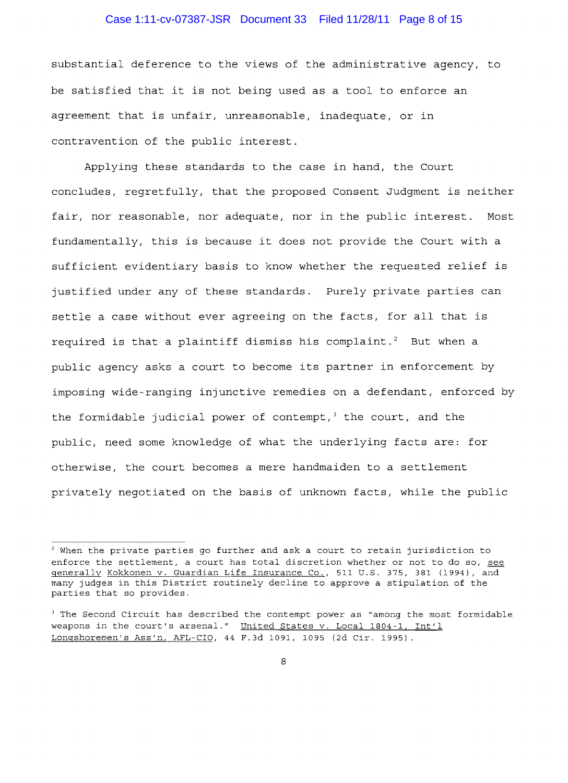### Case 1:11-cv-07387-JSR Document 33 Filed 11/28/11 Page 8 of 15

substantial deference to the views of the administrative agency, to be satisfied that it is not being used as a tool to enforce an agreement that is unfair, unreasonable, inadequate, or in contravention of the public interest.

Applying these standards to the case in hand, the Court concludes, regretfully, that the proposed Consent Judgment is neither fair, nor reasonable, nor adequate, nor in the public interest. Most fundamentally, this is because it does not provide the Court with a sufficient evidentiary basis to know whether the requested relief is justified under any of these standards. Purely private parties can settle a case without ever agreeing on the facts, for all that is required is that a plaintiff dismiss his complaint.<sup>2</sup> But when a public agency asks a court to become its partner in enforcement by imposing wide-ranging injunctive remedies on a defendant, enforced by the formidable judicial power of contempt, $3$  the court, and the public, need some knowledge of what the underlying facts are: for otherwise, the court becomes a mere handmaiden to a settlement privately negotiated on the basis of unknown facts, while the public

<sup>&</sup>lt;sup>2</sup> When the private parties go further and ask a court to retain jurisdiction to enforce the settlement, a court has total discretion whether or not to do so, see generally Kokkonen v. Guardian Life Insurance Co., 511 U.S. 375, 381 (1994), and many judges in this District routinely decline to approve a stipulation of the parties that so provides.

<sup>&</sup>lt;sup>3</sup> The Second Circuit has described the contempt power as "among the most formidable weapons in the court's arsenal." United States v. Local 1804-1, Int'l Longshoremen's Ass'n, AFL-CIO, 44 F.3d 1091, 1095 (2d Cir. 1995).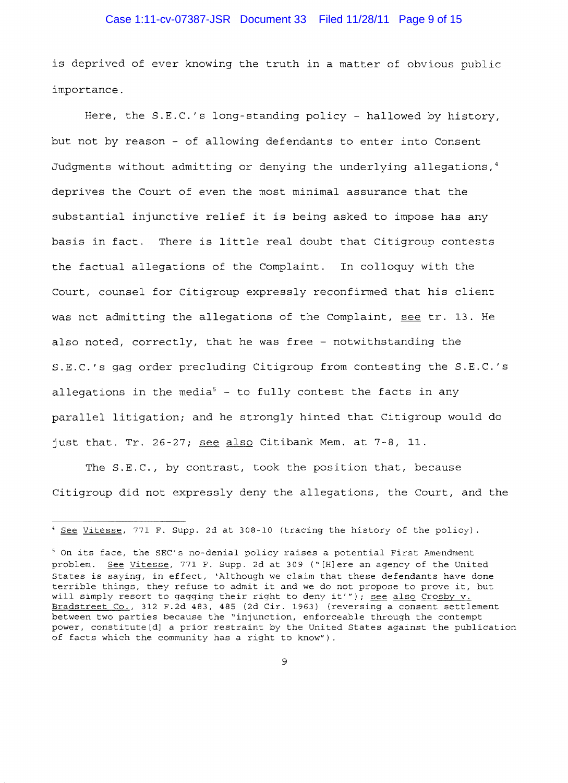### Case 1:11-cv-07387-JSR Document 33 Filed 11/28/11 Page 9 of 15

is deprived of ever knowing the truth in a matter of obvious public importance.

Here, the S.E.C.'s long-standing policy - hallowed by history, but not by reason - of allowing defendants to enter into Consent Judgments without admitting or denying the underlying allegations,<sup>4</sup> deprives the Court of even the most minimal assurance that the substantial injunctive relief it is being asked to impose has any basis in There is little real doubt that Citigroup contests the factual allegations of the Complaint. In colloquy with the Court, counsel for Citigroup expressly reconfirmed that his client was not admitting the allegations of the Complaint, see tr. 13. He also noted, correctly, that he was free - notwithstanding the S.E.C.'s gag order precluding Citigroup from contesting the S.E.C.'s allegations in the media<sup>5</sup> - to fully contest the facts in any parallel litigation; and he strongly hinted that Citigroup would do just that. Tr. 26-27; see also Citibank Mem. at  $7-8$ , 11.

The S.E.C., by contrast, took the position that, because Citigroup did not expressly deny the allegations, the Court, and the

<sup>4</sup> See Vitesse, 771 F. Supp. 2d at 308-10 (tracing the history of the policy) .

 $5$  On its face, the SEC's no-denial policy raises a potential First Amendment problem. See Vitesse, 771 F. Supp. 2d at 309 ("[H]ere an agency of the United States is saying, in effect, 'Although we claim that these defendants have done terrible things, they refuse to admit it and we do not propose to prove it, but will simply resort to gagging their right to deny it'"); see also Crosby v. Bradstreet Co., 312 F.2d 483, 485 (2d Cir. 1963) (reversing a consent settlement between two parties because the "injunction, enforceable through the contempt power, constitute[d] a prior restraint by the United States against the publication of facts which the community has a right to know").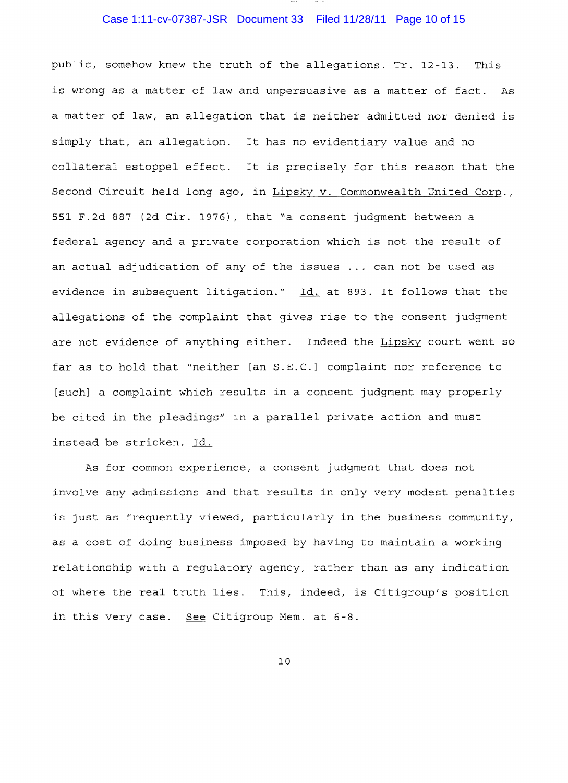# Case 1:11-cv-07387-JSR Document 33 Filed 11/28/11 Page 10 of 15

public, somehow knew the truth of the allegations. Tr. 12-13. This is wrong as a matter of law and unpersuasive as a matter of fact. As a matter of law, an allegation that is neither admitted nor denied simply that, an allegation. It has no evidentiary value and no collateral estoppel effect. It is precisely for this reason that the Second Circuit held long ago, in Lipsky v. Commonwealth United Corp., 551 F.2d 887 (2d Cir. 1976), that "a consent judgment between a federal agency and a private corporation which is not the result of an actual adjudication of any of the issues ... can not be used as evidence in subsequent litigation." Id. at 893. It follows that the allegations of the complaint that gives rise to the consent judgment are not evidence of anything either. Indeed the Lipsky court went so far as to hold that "neither [an S.E.C.] complaint nor reference to [such] a complaint which results in a consent judgment may properly be cited in the pleadings" in a parallel private action and must instead be stricken. Id.

As for common experience, a consent judgment that does not involve any admissions and that results in only very modest penalties is just as frequently viewed, particularly in the business community, as a cost of doing business imposed by having to maintain a working relationship with a regulatory agency, rather than as any indication of where the real truth lies. This, indeed, is Citigroup's position in this very case. See Citigroup Mem. at 6-8.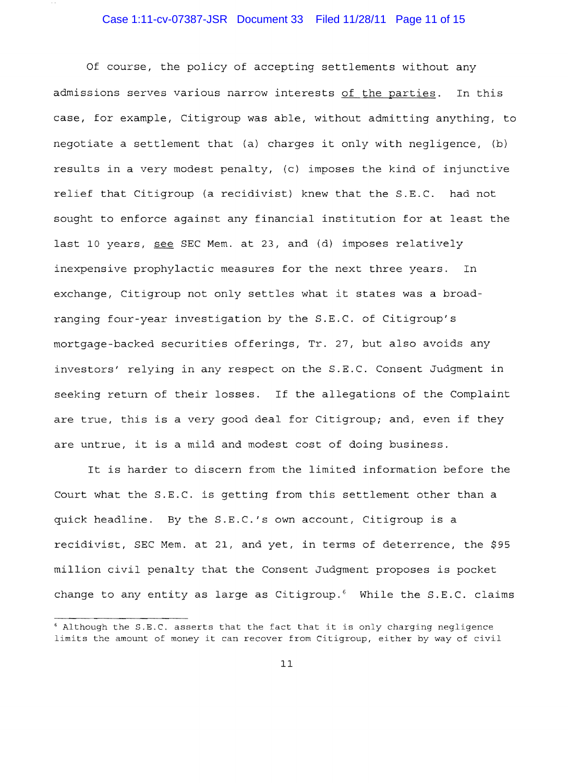# Case 1:11-cv-07387-JSR Document 33 Filed 11/28/11 Page 11 of 15

Of course, the policy of accepting settlements without any admissions serves various narrow interests of the parties. In this case, for example, Citigroup was able, without admitting anything, to negotiate a settlement that (a) charges it only with negligence, (b) results in a very modest penalty, (c) imposes the kind of injunctive relief that Citigroup (a recidivist) knew that the S.E.C. had not sought to enforce against any financial institution for at least the last 10 years, see SEC Mem. at 23, and (d) imposes relatively inexpensive prophylactic measures for the next three years. In exchange, Citigroup not only settles what it states was a broadranging four-year investigation by the S.E.C. of Citigroup's mortgage-backed securities offerings, Tr. 27, but also avoids any investors' relying in any respect on the S.E.C. Consent Judgment in seeking return of their losses. If the allegations of the Complaint are true, this is a very good deal for Citigroup; and, even if they are untrue, it is a mild and modest cost of doing business.

It is harder to discern from the limited information before the Court what the S.E.C. is getting from this settlement other than a quick headline. By the S.E.C.'s own account, Citigroup is a recidivist, SEC Mem. at 21, and yet, in terms of deterrence, the \$95 million civil penalty that the Consent Judgment proposes is pocket change to any entity as large as Citigroup.<sup>6</sup> While the S.E.C. claims

<sup>.&</sup>lt;br>Although the S.E.C. asserts that the fact that it is only charging negligence limits the amount of money it can recover from Citigroup, either by way of civil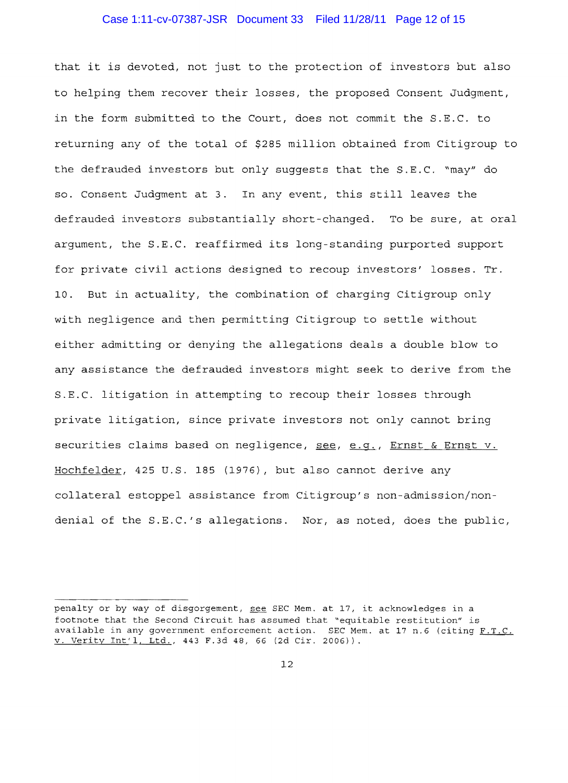#### Case 1:11-cv-07387-JSR Document 33 Filed 11/28/11 Page 12 of 15

that it is devoted, not just to the protection of investors but also to helping them recover their losses, the proposed Consent Judgment, in the form submitted to the Court, does not commit the S.E.C. to returning any of the total of \$285 million obtained from Citigroup to the defrauded investors but only suggests that the S.E.C. "may" do so. Consent Judgment at 3. In any event, this still leaves the defrauded investors substantially short-changed. To be sure, at oral argument, the S.E.C. reaffirmed its long standing purported support for private civil actions designed to recoup investors' losses. Tr. 10. But in actuality, the combination of charging Citigroup only with negligence and then permitting Citigroup to settle without either admitting or denying the allegations deals a double blow to any assistance the defrauded investors might seek to derive from the S.E.C. litigation in attempting to recoup their losses through private litigation, since private investors not only cannot bring securities claims based on negligence, see, e.g., Ernst & Ernst v. Hochfelder, 425 U.S. 185 (1976), but also cannot derive any collateral estoppel assistance from Citigroup's non admission/nondenial of the S.E.C.'s allegations. Nor, as noted, does the public,

penalty or by way of disgorgement, see SEC Mem. at 17, it acknowledges in a footnote that the Second Circuit has assumed that "equitable restitution" is available in any government enforcement action. SEC Mem. at 17 n.6 (citing  $F.T.C.$ v. Verity lnt'l, Ltd., 443 F.3d 48, 66 (2d Cir. 2006)).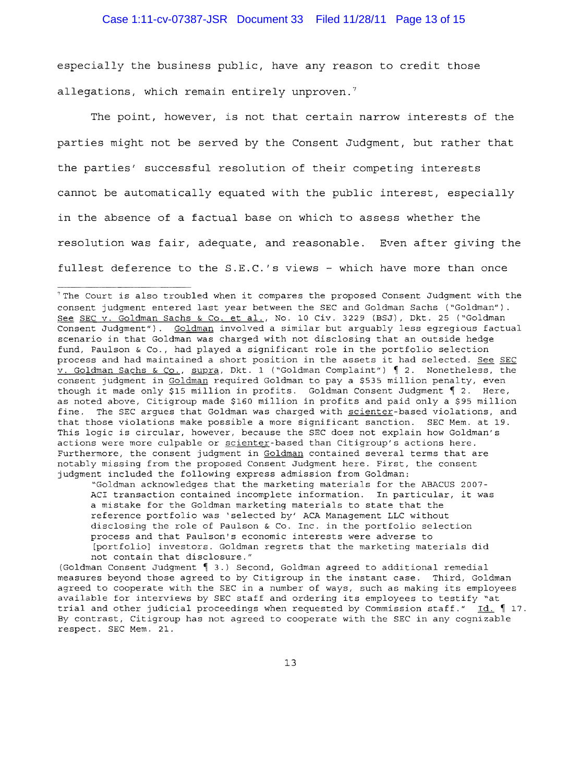especially the business public, have any reason to credit those allegations, which remain entirely unproven.<sup>7</sup>

The point, however, is not that certain narrow interests of the parties might not be served by the Consent Judgment, but rather that the parties' successful resolution of their competing interests cannot be automatically equated with the public interest, especially in the absence of a factual base on which to assess whether the resolution was fair, adequate, and reasonable. Even after giving the fullest deference to the S.E.C.'s views - which have more than once

"Goldman acknowledges that the marketing materials for the ABACUS 2007 ACI transaction contained incomplete information. In particular, it was a mistake for the Goldman marketing materials to state that the reference portfolio was 'selected by' ACA Management LLC without disclosing the role of Paulson & Co. Inc. in the portfolio selection process and that Paulson's economic interests were adverse to [portfolio] investors. Goldman regrets that the marketing materials did not contain that disclosure."

(Goldman Consent Judgment  $\int$  3.) Second, Goldman agreed to additional remedial measures beyond those agreed to by Citigroup in the instant case. Third, Goldman agreed to cooperate with the SEC in a number of ways, such as making its employees available for interviews by SEC staff and ordering its employees to testify "at trial and other judicial proceedings when requested by Commission staff."  $\underline{Id}$ .  $\P$  17. By contrast, Citigroup has not agreed to cooperate with the SEC in any cognizable respect. SEC Mem. 21.

<sup>&</sup>quot;The Court is also troubled when it compares the proposed Consent Judgment with the consent judgment entered last year between the SEC and Goldman Sachs ("Goldman"). See SEC v. Goldman Sachs & Co. et al., No. 10 Civ. 3229 (BSJ), Dkt. 25 ("Goldman Consent Judgment"). Goldman involved a similar but arguably less egregious factual scenario in that Goldman was charged with not disclosing that an outside hedge fund, Paulson & Co., had played a significant role in the portfolio selection process and had maintained a short position in the assets it had selected. See SEC  $v.$  Goldman Sachs & Co., supra, Dkt. 1 ("Goldman Complaint")  $\int$  2. Nonetheless, the consent judgment in Goldman required Goldman to pay a \$535 million penalty, even though it made only \$15 million in profits. Goldman Consent Judgment  $\lceil$  2. Here, as noted above, Citigroup made \$160 million in profits and paid only a \$95 million fine. The SEC argues that Goldman was charged with scienter-based violations, and that those violations make possible a more significant sanction. SEC Mem. at 19. This logic is circular, however, because the SEC does not explain how Goldman's actions were more culpable or scienter-based than Citigroup's actions here. Furthermore, the consent judgment in Goldman contained several terms that are notably missing from the proposed Consent Judgment here. First, the consent judgment included the following express admission from Goldman: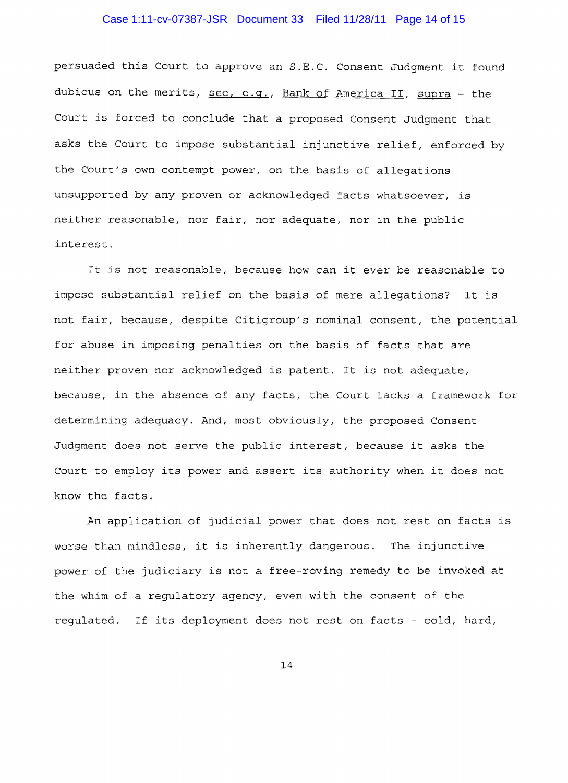### Case 1:11-cv-07387-JSR Document 33 Filed 11/28/11 Page 14 of 15

persuaded this Court to approve an S.E.C. Consent Judgment it found dubious on the merits, see, e.g., Bank of America II, supra - the Court is forced to conclude that a proposed Consent Judgment that asks the Court to impose substantial injunctive relief, enforced by the Court's own contempt power, on the basis of allegations unsupported by any proven or acknowledged facts whatsoever, is neither reasonable, nor fair, nor adequate, nor in the public interest.

It is not reasonable, because how can it ever be reasonable to impose substantial relief on the basis of mere allegations? It is not fair, because, despite Citigroup's nominal consent, the potential for abuse in imposing penalties on the basis of facts that are neither proven nor acknowledged is patent. It is not adequate, because, in the absence of any facts, the Court lacks a framework for determining adequacy. And, most obviously, the proposed Consent Judgment does not serve the public interest, because it asks the Court to employ its power and assert its authority when it does not know the facts.

An application of judicial power that does not rest on facts is worse than mindless, it is inherently dangerous. The injunctive power of the judiciary is not a free roving remedy to be invoked at the whim of a regulatory agency, even with the consent of the regulated. If its deployment does not rest on facts - cold, hard,